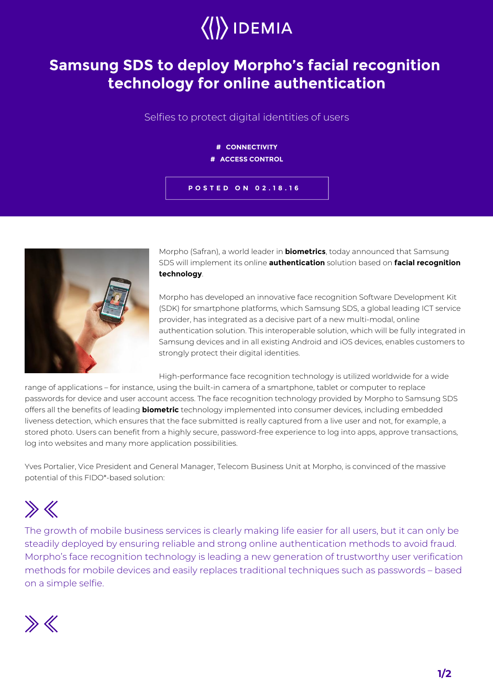

## **Samsung SDS to deploy Morpho's facial recognition technology for online authentication**

Selfies to protect digital identities of users

## **# CONNECTIVITY # ACCESS CONTROL**





Morpho (Safran), a world leader in **biometrics**, today announced that Samsung SDS will implement its online **authentication** solution based on **facial recognition technology**.

Morpho has developed an innovative face recognition Software Development Kit (SDK) for smartphone platforms, which Samsung SDS, a global leading ICT service provider, has integrated as a decisive part of a new multi-modal, online authentication solution. This interoperable solution, which will be fully integrated in Samsung devices and in all existing Android and iOS devices, enables customers to strongly protect their digital identities.

High-performance face recognition technology is utilized worldwide for a wide

range of applications – for instance, using the built-in camera of a smartphone, tablet or computer to replace passwords for device and user account access. The face recognition technology provided by Morpho to Samsung SDS offers all the benefits of leading **biometric** technology implemented into consumer devices, including embedded liveness detection, which ensures that the face submitted is really captured from a live user and not, for example, a stored photo. Users can benefit from a highly secure, password-free experience to log into apps, approve transactions, log into websites and many more application possibilities.

Yves Portalier, Vice President and General Manager, Telecom Business Unit at Morpho, is convinced of the massive potential of this FIDO\*-based solution:

## $\gg K$

The growth of mobile business services is clearly making life easier for all users, but it can only be steadily deployed by ensuring reliable and strong online authentication methods to avoid fraud. Morpho's face recognition technology is leading a new generation of trustworthy user verification methods for mobile devices and easily replaces traditional techniques such as passwords – based on a simple selfie.